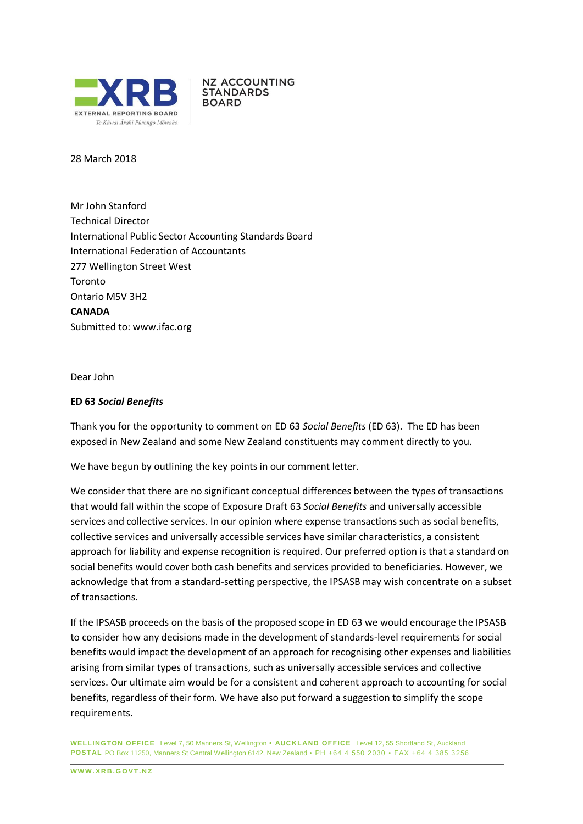

**NZ ACCOUNTING STANDARDS BOARD** 

28 March 2018

Mr John Stanford Technical Director International Public Sector Accounting Standards Board International Federation of Accountants 277 Wellington Street West Toronto Ontario M5V 3H2 **CANADA** Submitted to: [www.ifac.org](http://www.ifac.org/)

Dear John

#### **ED 63** *Social Benefits*

Thank you for the opportunity to comment on ED 63 *Social Benefits* (ED 63). The ED has been exposed in New Zealand and some New Zealand constituents may comment directly to you.

We have begun by outlining the key points in our comment letter.

We consider that there are no significant conceptual differences between the types of transactions that would fall within the scope of Exposure Draft 63 *Social Benefits* and universally accessible services and collective services. In our opinion where expense transactions such as social benefits, collective services and universally accessible services have similar characteristics, a consistent approach for liability and expense recognition is required. Our preferred option is that a standard on social benefits would cover both cash benefits and services provided to beneficiaries. However, we acknowledge that from a standard-setting perspective, the IPSASB may wish concentrate on a subset of transactions.

If the IPSASB proceeds on the basis of the proposed scope in ED 63 we would encourage the IPSASB to consider how any decisions made in the development of standards-level requirements for social benefits would impact the development of an approach for recognising other expenses and liabilities arising from similar types of transactions, such as universally accessible services and collective services. Our ultimate aim would be for a consistent and coherent approach to accounting for social benefits, regardless of their form. We have also put forward a suggestion to simplify the scope requirements.

**WELLINGTON OFFICE** Level 7, 50 Manners St, Wellington **• AUCKL AND OFFICE** Level 12, 55 Shortland St, Auckland **POST AL** PO Box 11250, Manners St Central Wellington 6142, New Zealand • PH +64 4 550 2030 • FAX + 64 4 385 3256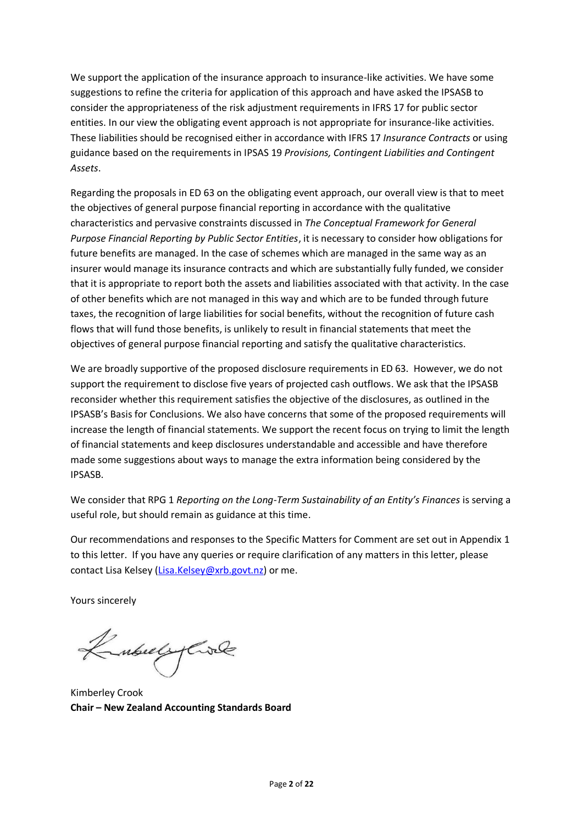We support the application of the insurance approach to insurance-like activities. We have some suggestions to refine the criteria for application of this approach and have asked the IPSASB to consider the appropriateness of the risk adjustment requirements in IFRS 17 for public sector entities. In our view the obligating event approach is not appropriate for insurance-like activities. These liabilities should be recognised either in accordance with IFRS 17 *Insurance Contracts* or using guidance based on the requirements in IPSAS 19 *Provisions, Contingent Liabilities and Contingent Assets*.

Regarding the proposals in ED 63 on the obligating event approach, our overall view is that to meet the objectives of general purpose financial reporting in accordance with the qualitative characteristics and pervasive constraints discussed in *The Conceptual Framework for General Purpose Financial Reporting by Public Sector Entities*, it is necessary to consider how obligations for future benefits are managed. In the case of schemes which are managed in the same way as an insurer would manage its insurance contracts and which are substantially fully funded, we consider that it is appropriate to report both the assets and liabilities associated with that activity. In the case of other benefits which are not managed in this way and which are to be funded through future taxes, the recognition of large liabilities for social benefits, without the recognition of future cash flows that will fund those benefits, is unlikely to result in financial statements that meet the objectives of general purpose financial reporting and satisfy the qualitative characteristics.

We are broadly supportive of the proposed disclosure requirements in ED 63. However, we do not support the requirement to disclose five years of projected cash outflows. We ask that the IPSASB reconsider whether this requirement satisfies the objective of the disclosures, as outlined in the IPSASB's Basis for Conclusions. We also have concerns that some of the proposed requirements will increase the length of financial statements. We support the recent focus on trying to limit the length of financial statements and keep disclosures understandable and accessible and have therefore made some suggestions about ways to manage the extra information being considered by the IPSASB.

We consider that RPG 1 *Reporting on the Long-Term Sustainability of an Entity's Finances* is serving a useful role, but should remain as guidance at this time.

Our recommendations and responses to the Specific Matters for Comment are set out in Appendix 1 to this letter. If you have any queries or require clarification of any matters in this letter, please contact Lisa Kelsey (Lisa.Kelse[y@xrb.govt.nz\)](mailto:Judith.pinny@xrb.govt.nz) or me.

Yours sincerely

Kubulyare

Kimberley Crook **Chair – New Zealand Accounting Standards Board**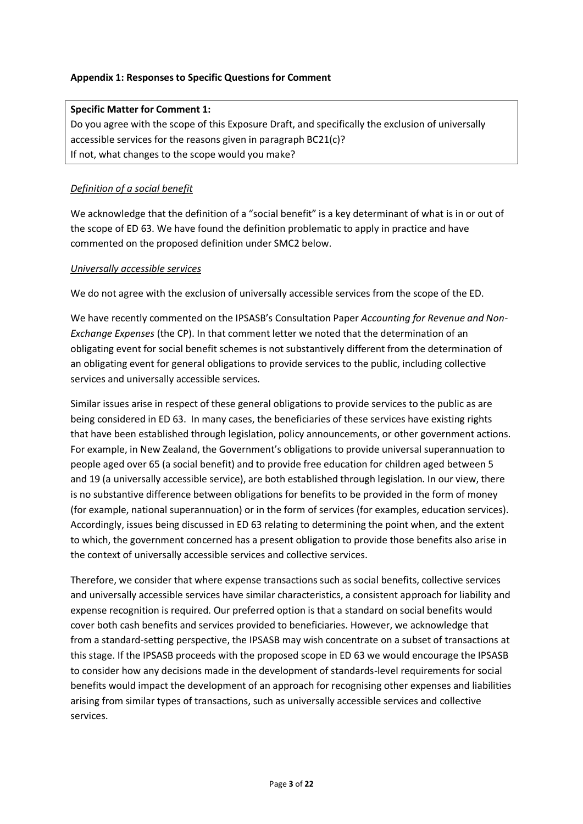## **Appendix 1: Responses to Specific Questions for Comment**

## **Specific Matter for Comment 1:**

Do you agree with the scope of this Exposure Draft, and specifically the exclusion of universally accessible services for the reasons given in paragraph BC21(c)? If not, what changes to the scope would you make?

## *Definition of a social benefit*

We acknowledge that the definition of a "social benefit" is a key determinant of what is in or out of the scope of ED 63. We have found the definition problematic to apply in practice and have commented on the proposed definition under SMC2 below.

## *Universally accessible services*

We do not agree with the exclusion of universally accessible services from the scope of the ED.

We have recently commented on the IPSASB's Consultation Paper *Accounting for Revenue and Non-Exchange Expenses* (the CP). In that comment letter we noted that the determination of an obligating event for social benefit schemes is not substantively different from the determination of an obligating event for general obligations to provide services to the public, including collective services and universally accessible services.

Similar issues arise in respect of these general obligations to provide services to the public as are being considered in ED 63. In many cases, the beneficiaries of these services have existing rights that have been established through legislation, policy announcements, or other government actions. For example, in New Zealand, the Government's obligations to provide universal superannuation to people aged over 65 (a social benefit) and to provide free education for children aged between 5 and 19 (a universally accessible service), are both established through legislation. In our view, there is no substantive difference between obligations for benefits to be provided in the form of money (for example, national superannuation) or in the form of services (for examples, education services). Accordingly, issues being discussed in ED 63 relating to determining the point when, and the extent to which, the government concerned has a present obligation to provide those benefits also arise in the context of universally accessible services and collective services.

Therefore, we consider that where expense transactions such as social benefits, collective services and universally accessible services have similar characteristics, a consistent approach for liability and expense recognition is required. Our preferred option is that a standard on social benefits would cover both cash benefits and services provided to beneficiaries. However, we acknowledge that from a standard-setting perspective, the IPSASB may wish concentrate on a subset of transactions at this stage. If the IPSASB proceeds with the proposed scope in ED 63 we would encourage the IPSASB to consider how any decisions made in the development of standards-level requirements for social benefits would impact the development of an approach for recognising other expenses and liabilities arising from similar types of transactions, such as universally accessible services and collective services.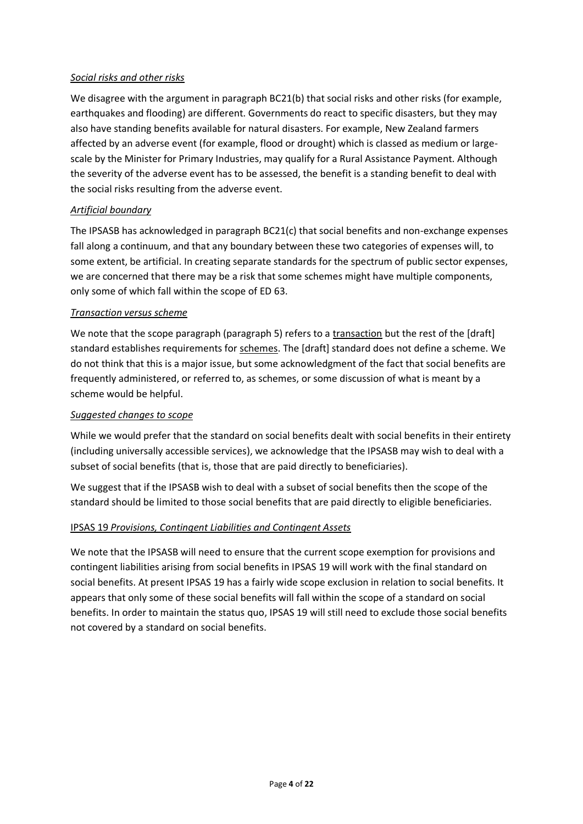## *Social risks and other risks*

We disagree with the argument in paragraph BC21(b) that social risks and other risks (for example, earthquakes and flooding) are different. Governments do react to specific disasters, but they may also have standing benefits available for natural disasters. For example, New Zealand farmers affected by an adverse event (for example, flood or drought) which is classed as medium or largescale by the Minister for Primary Industries, may qualify for a Rural Assistance Payment. Although the severity of the adverse event has to be assessed, the benefit is a standing benefit to deal with the social risks resulting from the adverse event.

## *Artificial boundary*

The IPSASB has acknowledged in paragraph BC21(c) that social benefits and non-exchange expenses fall along a continuum, and that any boundary between these two categories of expenses will, to some extent, be artificial. In creating separate standards for the spectrum of public sector expenses, we are concerned that there may be a risk that some schemes might have multiple components, only some of which fall within the scope of ED 63.

## *Transaction versus scheme*

We note that the scope paragraph (paragraph 5) refers to a transaction but the rest of the [draft] standard establishes requirements for schemes. The [draft] standard does not define a scheme. We do not think that this is a major issue, but some acknowledgment of the fact that social benefits are frequently administered, or referred to, as schemes, or some discussion of what is meant by a scheme would be helpful.

## *Suggested changes to scope*

While we would prefer that the standard on social benefits dealt with social benefits in their entirety (including universally accessible services), we acknowledge that the IPSASB may wish to deal with a subset of social benefits (that is, those that are paid directly to beneficiaries).

We suggest that if the IPSASB wish to deal with a subset of social benefits then the scope of the standard should be limited to those social benefits that are paid directly to eligible beneficiaries.

# IPSAS 19 *Provisions, Contingent Liabilities and Contingent Assets*

We note that the IPSASB will need to ensure that the current scope exemption for provisions and contingent liabilities arising from social benefits in IPSAS 19 will work with the final standard on social benefits. At present IPSAS 19 has a fairly wide scope exclusion in relation to social benefits. It appears that only some of these social benefits will fall within the scope of a standard on social benefits. In order to maintain the status quo, IPSAS 19 will still need to exclude those social benefits not covered by a standard on social benefits.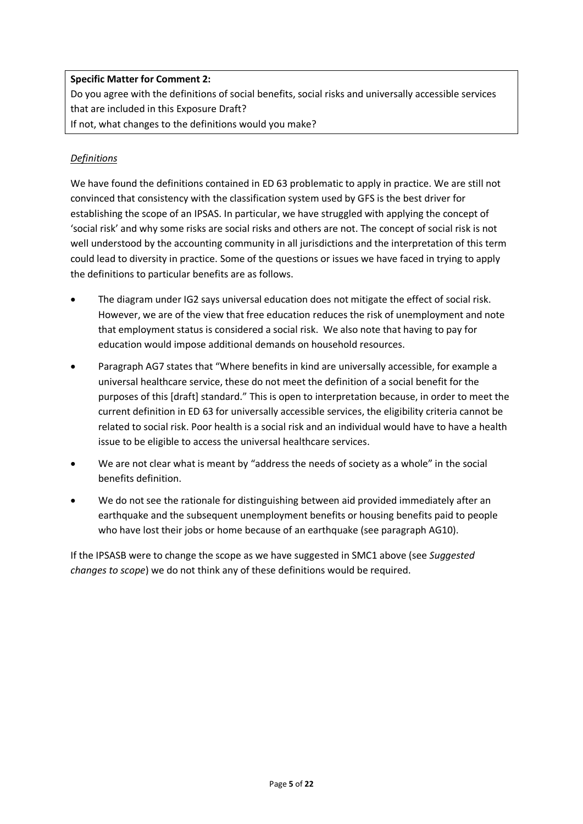# **Specific Matter for Comment 2:**

Do you agree with the definitions of social benefits, social risks and universally accessible services that are included in this Exposure Draft?

If not, what changes to the definitions would you make?

# *Definitions*

We have found the definitions contained in ED 63 problematic to apply in practice. We are still not convinced that consistency with the classification system used by GFS is the best driver for establishing the scope of an IPSAS. In particular, we have struggled with applying the concept of 'social risk' and why some risks are social risks and others are not. The concept of social risk is not well understood by the accounting community in all jurisdictions and the interpretation of this term could lead to diversity in practice. Some of the questions or issues we have faced in trying to apply the definitions to particular benefits are as follows.

- The diagram under IG2 says universal education does not mitigate the effect of social risk. However, we are of the view that free education reduces the risk of unemployment and note that employment status is considered a social risk. We also note that having to pay for education would impose additional demands on household resources.
- Paragraph AG7 states that "Where benefits in kind are universally accessible, for example a universal healthcare service, these do not meet the definition of a social benefit for the purposes of this [draft] standard." This is open to interpretation because, in order to meet the current definition in ED 63 for universally accessible services, the eligibility criteria cannot be related to social risk. Poor health is a social risk and an individual would have to have a health issue to be eligible to access the universal healthcare services.
- We are not clear what is meant by "address the needs of society as a whole" in the social benefits definition.
- We do not see the rationale for distinguishing between aid provided immediately after an earthquake and the subsequent unemployment benefits or housing benefits paid to people who have lost their jobs or home because of an earthquake (see paragraph AG10).

If the IPSASB were to change the scope as we have suggested in SMC1 above (see *Suggested changes to scope*) we do not think any of these definitions would be required.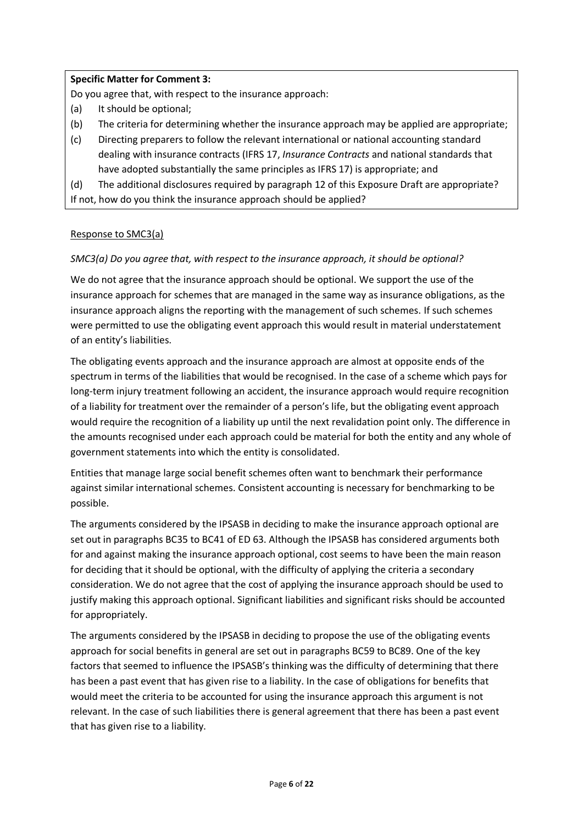## **Specific Matter for Comment 3:**

Do you agree that, with respect to the insurance approach:

- (a) It should be optional;
- (b) The criteria for determining whether the insurance approach may be applied are appropriate;
- (c) Directing preparers to follow the relevant international or national accounting standard dealing with insurance contracts (IFRS 17, *Insurance Contracts* and national standards that have adopted substantially the same principles as IFRS 17) is appropriate; and

(d) The additional disclosures required by paragraph 12 of this Exposure Draft are appropriate?

If not, how do you think the insurance approach should be applied?

# Response to SMC3(a)

# *SMC3(a) Do you agree that, with respect to the insurance approach, it should be optional?*

We do not agree that the insurance approach should be optional. We support the use of the insurance approach for schemes that are managed in the same way as insurance obligations, as the insurance approach aligns the reporting with the management of such schemes. If such schemes were permitted to use the obligating event approach this would result in material understatement of an entity's liabilities.

The obligating events approach and the insurance approach are almost at opposite ends of the spectrum in terms of the liabilities that would be recognised. In the case of a scheme which pays for long-term injury treatment following an accident, the insurance approach would require recognition of a liability for treatment over the remainder of a person's life, but the obligating event approach would require the recognition of a liability up until the next revalidation point only. The difference in the amounts recognised under each approach could be material for both the entity and any whole of government statements into which the entity is consolidated.

Entities that manage large social benefit schemes often want to benchmark their performance against similar international schemes. Consistent accounting is necessary for benchmarking to be possible.

The arguments considered by the IPSASB in deciding to make the insurance approach optional are set out in paragraphs BC35 to BC41 of ED 63. Although the IPSASB has considered arguments both for and against making the insurance approach optional, cost seems to have been the main reason for deciding that it should be optional, with the difficulty of applying the criteria a secondary consideration. We do not agree that the cost of applying the insurance approach should be used to justify making this approach optional. Significant liabilities and significant risks should be accounted for appropriately.

The arguments considered by the IPSASB in deciding to propose the use of the obligating events approach for social benefits in general are set out in paragraphs BC59 to BC89. One of the key factors that seemed to influence the IPSASB's thinking was the difficulty of determining that there has been a past event that has given rise to a liability. In the case of obligations for benefits that would meet the criteria to be accounted for using the insurance approach this argument is not relevant. In the case of such liabilities there is general agreement that there has been a past event that has given rise to a liability.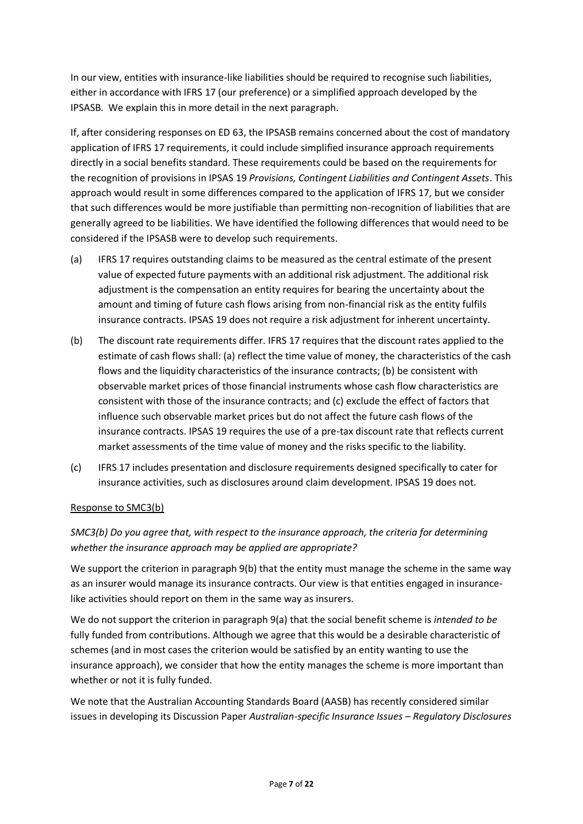In our view, entities with insurance-like liabilities should be required to recognise such liabilities, either in accordance with IFRS 17 (our preference) or a simplified approach developed by the IPSASB. We explain this in more detail in the next paragraph.

If, after considering responses on ED 63, the IPSASB remains concerned about the cost of mandatory application of IFRS 17 requirements, it could include simplified insurance approach requirements directly in a social benefits standard. These requirements could be based on the requirements for the recognition of provisions in IPSAS 19 *Provisions, Contingent Liabilities and Contingent Assets*. This approach would result in some differences compared to the application of IFRS 17, but we consider that such differences would be more justifiable than permitting non-recognition of liabilities that are generally agreed to be liabilities. We have identified the following differences that would need to be considered if the IPSASB were to develop such requirements.

- (a) IFRS 17 requires outstanding claims to be measured as the central estimate of the present value of expected future payments with an additional risk adjustment. The additional risk adjustment is the compensation an entity requires for bearing the uncertainty about the amount and timing of future cash flows arising from non-financial risk as the entity fulfils insurance contracts. IPSAS 19 does not require a risk adjustment for inherent uncertainty.
- (b) The discount rate requirements differ. IFRS 17 requires that the discount rates applied to the estimate of cash flows shall: (a) reflect the time value of money, the characteristics of the cash flows and the liquidity characteristics of the insurance contracts; (b) be consistent with observable market prices of those financial instruments whose cash flow characteristics are consistent with those of the insurance contracts; and (c) exclude the effect of factors that influence such observable market prices but do not affect the future cash flows of the insurance contracts. IPSAS 19 requires the use of a pre-tax discount rate that reflects current market assessments of the time value of money and the risks specific to the liability.
- (c) IFRS 17 includes presentation and disclosure requirements designed specifically to cater for insurance activities, such as disclosures around claim development. IPSAS 19 does not.

## Response to SMC3(b)

*SMC3(b) Do you agree that, with respect to the insurance approach, the criteria for determining whether the insurance approach may be applied are appropriate?* 

We support the criterion in paragraph 9(b) that the entity must manage the scheme in the same way as an insurer would manage its insurance contracts. Our view is that entities engaged in insurancelike activities should report on them in the same way as insurers.

We do not support the criterion in paragraph 9(a) that the social benefit scheme is *intended to be* fully funded from contributions. Although we agree that this would be a desirable characteristic of schemes (and in most cases the criterion would be satisfied by an entity wanting to use the insurance approach), we consider that how the entity manages the scheme is more important than whether or not it is fully funded.

We note that the Australian Accounting Standards Board (AASB) has recently considered similar issues in developing its Discussion Paper *Australian-specific Insurance Issues – Regulatory Disclosures*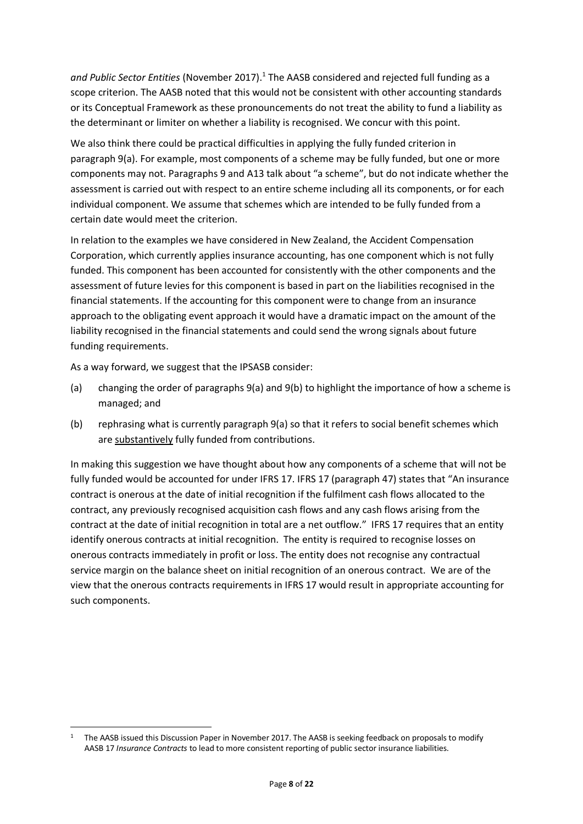*and Public Sector Entities* (November 2017). 1 The AASB considered and rejected full funding as a scope criterion. The AASB noted that this would not be consistent with other accounting standards or its Conceptual Framework as these pronouncements do not treat the ability to fund a liability as the determinant or limiter on whether a liability is recognised. We concur with this point.

We also think there could be practical difficulties in applying the fully funded criterion in paragraph 9(a). For example, most components of a scheme may be fully funded, but one or more components may not. Paragraphs 9 and A13 talk about "a scheme", but do not indicate whether the assessment is carried out with respect to an entire scheme including all its components, or for each individual component. We assume that schemes which are intended to be fully funded from a certain date would meet the criterion.

In relation to the examples we have considered in New Zealand, the Accident Compensation Corporation, which currently applies insurance accounting, has one component which is not fully funded. This component has been accounted for consistently with the other components and the assessment of future levies for this component is based in part on the liabilities recognised in the financial statements. If the accounting for this component were to change from an insurance approach to the obligating event approach it would have a dramatic impact on the amount of the liability recognised in the financial statements and could send the wrong signals about future funding requirements.

As a way forward, we suggest that the IPSASB consider:

- (a) changing the order of paragraphs 9(a) and 9(b) to highlight the importance of how a scheme is managed; and
- (b) rephrasing what is currently paragraph 9(a) so that it refers to social benefit schemes which are substantively fully funded from contributions.

In making this suggestion we have thought about how any components of a scheme that will not be fully funded would be accounted for under IFRS 17. IFRS 17 (paragraph 47) states that "An insurance contract is onerous at the date of initial recognition if the fulfilment cash flows allocated to the contract, any previously recognised acquisition cash flows and any cash flows arising from the contract at the date of initial recognition in total are a net outflow." IFRS 17 requires that an entity identify onerous contracts at initial recognition. The entity is required to recognise losses on onerous contracts immediately in profit or loss. The entity does not recognise any contractual service margin on the balance sheet on initial recognition of an onerous contract. We are of the view that the onerous contracts requirements in IFRS 17 would result in appropriate accounting for such components.

<sup>1</sup> <sup>1</sup> The AASB issued this Discussion Paper in November 2017. The AASB is seeking feedback on proposals to modify AASB 17 *Insurance Contracts* to lead to more consistent reporting of public sector insurance liabilities.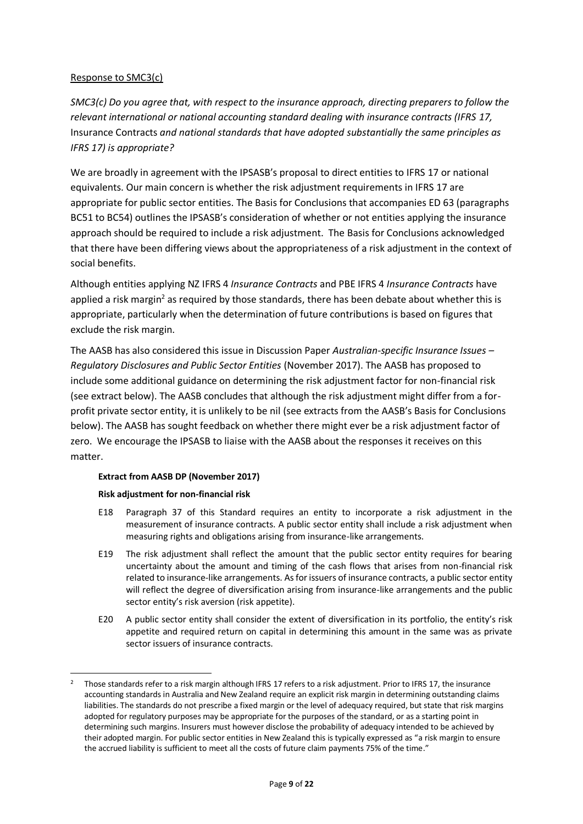## Response to SMC3(c)

*SMC3(c) Do you agree that, with respect to the insurance approach, directing preparers to follow the relevant international or national accounting standard dealing with insurance contracts (IFRS 17,*  Insurance Contracts *and national standards that have adopted substantially the same principles as IFRS 17) is appropriate?* 

We are broadly in agreement with the IPSASB's proposal to direct entities to IFRS 17 or national equivalents. Our main concern is whether the risk adjustment requirements in IFRS 17 are appropriate for public sector entities. The Basis for Conclusions that accompanies ED 63 (paragraphs BC51 to BC54) outlines the IPSASB's consideration of whether or not entities applying the insurance approach should be required to include a risk adjustment. The Basis for Conclusions acknowledged that there have been differing views about the appropriateness of a risk adjustment in the context of social benefits.

Although entities applying NZ IFRS 4 *Insurance Contracts* and PBE IFRS 4 *Insurance Contracts* have applied a risk margin<sup>2</sup> as required by those standards, there has been debate about whether this is appropriate, particularly when the determination of future contributions is based on figures that exclude the risk margin.

The AASB has also considered this issue in Discussion Paper *Australian-specific Insurance Issues – Regulatory Disclosures and Public Sector Entities* (November 2017). The AASB has proposed to include some additional guidance on determining the risk adjustment factor for non-financial risk (see extract below). The AASB concludes that although the risk adjustment might differ from a forprofit private sector entity, it is unlikely to be nil (see extracts from the AASB's Basis for Conclusions below). The AASB has sought feedback on whether there might ever be a risk adjustment factor of zero. We encourage the IPSASB to liaise with the AASB about the responses it receives on this matter.

## **Extract from AASB DP (November 2017)**

## **Risk adjustment for non-financial risk**

**.** 

- E18 Paragraph 37 of this Standard requires an entity to incorporate a risk adjustment in the measurement of insurance contracts. A public sector entity shall include a risk adjustment when measuring rights and obligations arising from insurance-like arrangements.
- E19 The risk adjustment shall reflect the amount that the public sector entity requires for bearing uncertainty about the amount and timing of the cash flows that arises from non-financial risk related to insurance-like arrangements. As for issuers of insurance contracts, a public sector entity will reflect the degree of diversification arising from insurance-like arrangements and the public sector entity's risk aversion (risk appetite).
- E20 A public sector entity shall consider the extent of diversification in its portfolio, the entity's risk appetite and required return on capital in determining this amount in the same was as private sector issuers of insurance contracts.

<sup>&</sup>lt;sup>2</sup> Those standards refer to a risk margin although IFRS 17 refers to a risk adjustment. Prior to IFRS 17, the insurance accounting standards in Australia and New Zealand require an explicit risk margin in determining outstanding claims liabilities. The standards do not prescribe a fixed margin or the level of adequacy required, but state that risk margins adopted for regulatory purposes may be appropriate for the purposes of the standard, or as a starting point in determining such margins. Insurers must however disclose the probability of adequacy intended to be achieved by their adopted margin. For public sector entities in New Zealand this is typically expressed as "a risk margin to ensure the accrued liability is sufficient to meet all the costs of future claim payments 75% of the time."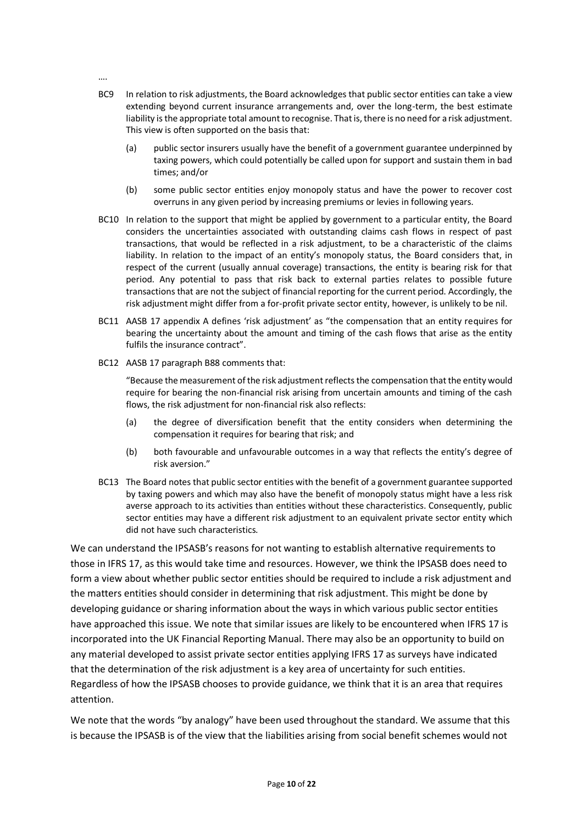….

- BC9 In relation to risk adjustments, the Board acknowledges that public sector entities can take a view extending beyond current insurance arrangements and, over the long-term, the best estimate liability is the appropriate total amount to recognise. That is, there is no need for a risk adjustment. This view is often supported on the basis that:
	- (a) public sector insurers usually have the benefit of a government guarantee underpinned by taxing powers, which could potentially be called upon for support and sustain them in bad times; and/or
	- (b) some public sector entities enjoy monopoly status and have the power to recover cost overruns in any given period by increasing premiums or levies in following years.
- BC10 In relation to the support that might be applied by government to a particular entity, the Board considers the uncertainties associated with outstanding claims cash flows in respect of past transactions, that would be reflected in a risk adjustment, to be a characteristic of the claims liability. In relation to the impact of an entity's monopoly status, the Board considers that, in respect of the current (usually annual coverage) transactions, the entity is bearing risk for that period. Any potential to pass that risk back to external parties relates to possible future transactions that are not the subject of financial reporting for the current period. Accordingly, the risk adjustment might differ from a for-profit private sector entity, however, is unlikely to be nil.
- BC11 AASB 17 appendix A defines 'risk adjustment' as "the compensation that an entity requires for bearing the uncertainty about the amount and timing of the cash flows that arise as the entity fulfils the insurance contract".
- BC12 AASB 17 paragraph B88 comments that:

"Because the measurement of the risk adjustment reflects the compensation that the entity would require for bearing the non-financial risk arising from uncertain amounts and timing of the cash flows, the risk adjustment for non-financial risk also reflects:

- (a) the degree of diversification benefit that the entity considers when determining the compensation it requires for bearing that risk; and
- (b) both favourable and unfavourable outcomes in a way that reflects the entity's degree of risk aversion."
- BC13 The Board notes that public sector entities with the benefit of a government guarantee supported by taxing powers and which may also have the benefit of monopoly status might have a less risk averse approach to its activities than entities without these characteristics. Consequently, public sector entities may have a different risk adjustment to an equivalent private sector entity which did not have such characteristics.

We can understand the IPSASB's reasons for not wanting to establish alternative requirements to those in IFRS 17, as this would take time and resources. However, we think the IPSASB does need to form a view about whether public sector entities should be required to include a risk adjustment and the matters entities should consider in determining that risk adjustment. This might be done by developing guidance or sharing information about the ways in which various public sector entities have approached this issue. We note that similar issues are likely to be encountered when IFRS 17 is incorporated into the UK Financial Reporting Manual. There may also be an opportunity to build on any material developed to assist private sector entities applying IFRS 17 as surveys have indicated that the determination of the risk adjustment is a key area of uncertainty for such entities. Regardless of how the IPSASB chooses to provide guidance, we think that it is an area that requires attention.

We note that the words "by analogy" have been used throughout the standard. We assume that this is because the IPSASB is of the view that the liabilities arising from social benefit schemes would not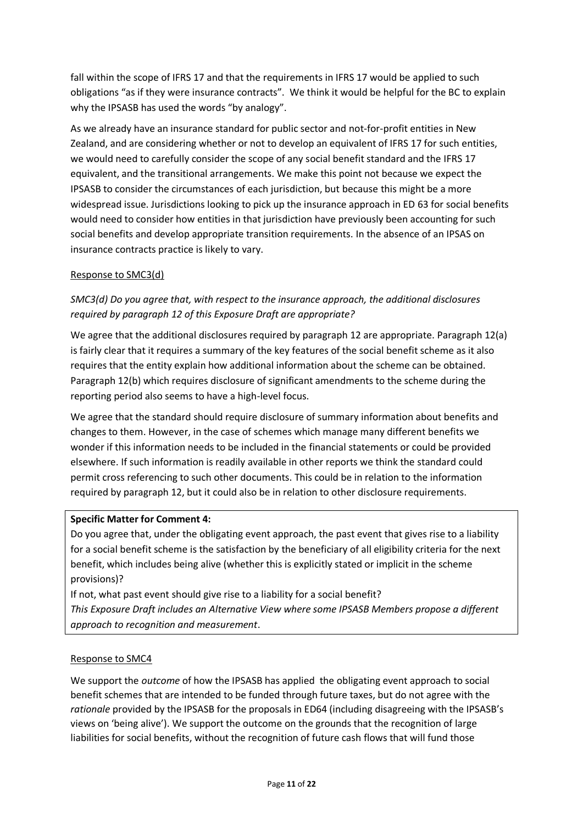fall within the scope of IFRS 17 and that the requirements in IFRS 17 would be applied to such obligations "as if they were insurance contracts". We think it would be helpful for the BC to explain why the IPSASB has used the words "by analogy".

As we already have an insurance standard for public sector and not-for-profit entities in New Zealand, and are considering whether or not to develop an equivalent of IFRS 17 for such entities, we would need to carefully consider the scope of any social benefit standard and the IFRS 17 equivalent, and the transitional arrangements. We make this point not because we expect the IPSASB to consider the circumstances of each jurisdiction, but because this might be a more widespread issue. Jurisdictions looking to pick up the insurance approach in ED 63 for social benefits would need to consider how entities in that jurisdiction have previously been accounting for such social benefits and develop appropriate transition requirements. In the absence of an IPSAS on insurance contracts practice is likely to vary.

## Response to SMC3(d)

# *SMC3(d) Do you agree that, with respect to the insurance approach, the additional disclosures required by paragraph 12 of this Exposure Draft are appropriate?*

We agree that the additional disclosures required by paragraph 12 are appropriate. Paragraph 12(a) is fairly clear that it requires a summary of the key features of the social benefit scheme as it also requires that the entity explain how additional information about the scheme can be obtained. Paragraph 12(b) which requires disclosure of significant amendments to the scheme during the reporting period also seems to have a high-level focus.

We agree that the standard should require disclosure of summary information about benefits and changes to them. However, in the case of schemes which manage many different benefits we wonder if this information needs to be included in the financial statements or could be provided elsewhere. If such information is readily available in other reports we think the standard could permit cross referencing to such other documents. This could be in relation to the information required by paragraph 12, but it could also be in relation to other disclosure requirements.

## **Specific Matter for Comment 4:**

Do you agree that, under the obligating event approach, the past event that gives rise to a liability for a social benefit scheme is the satisfaction by the beneficiary of all eligibility criteria for the next benefit, which includes being alive (whether this is explicitly stated or implicit in the scheme provisions)?

If not, what past event should give rise to a liability for a social benefit? *This Exposure Draft includes an Alternative View where some IPSASB Members propose a different approach to recognition and measurement*.

## Response to SMC4

We support the *outcome* of how the IPSASB has applied the obligating event approach to social benefit schemes that are intended to be funded through future taxes, but do not agree with the *rationale* provided by the IPSASB for the proposals in ED64 (including disagreeing with the IPSASB's views on 'being alive'). We support the outcome on the grounds that the recognition of large liabilities for social benefits, without the recognition of future cash flows that will fund those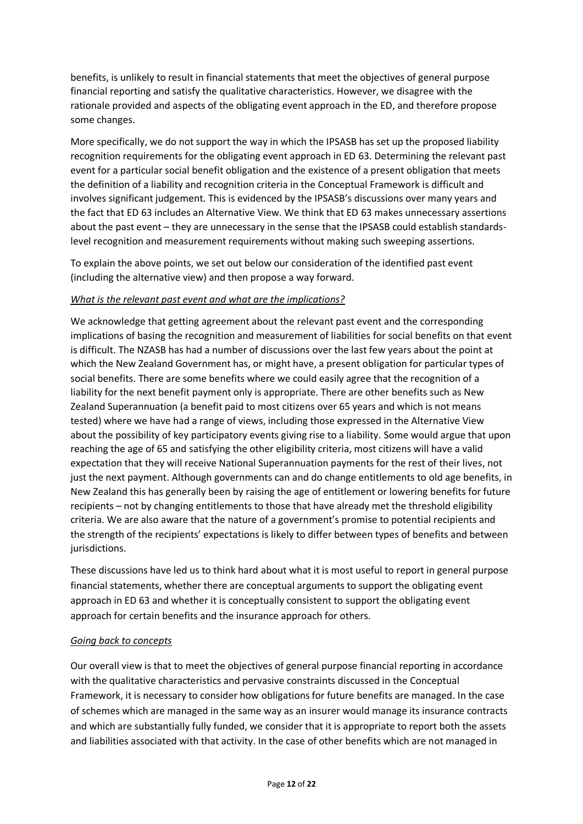benefits, is unlikely to result in financial statements that meet the objectives of general purpose financial reporting and satisfy the qualitative characteristics. However, we disagree with the rationale provided and aspects of the obligating event approach in the ED, and therefore propose some changes.

More specifically, we do not support the way in which the IPSASB has set up the proposed liability recognition requirements for the obligating event approach in ED 63. Determining the relevant past event for a particular social benefit obligation and the existence of a present obligation that meets the definition of a liability and recognition criteria in the Conceptual Framework is difficult and involves significant judgement. This is evidenced by the IPSASB's discussions over many years and the fact that ED 63 includes an Alternative View. We think that ED 63 makes unnecessary assertions about the past event – they are unnecessary in the sense that the IPSASB could establish standardslevel recognition and measurement requirements without making such sweeping assertions.

To explain the above points, we set out below our consideration of the identified past event (including the alternative view) and then propose a way forward.

## *What is the relevant past event and what are the implications?*

We acknowledge that getting agreement about the relevant past event and the corresponding implications of basing the recognition and measurement of liabilities for social benefits on that event is difficult. The NZASB has had a number of discussions over the last few years about the point at which the New Zealand Government has, or might have, a present obligation for particular types of social benefits. There are some benefits where we could easily agree that the recognition of a liability for the next benefit payment only is appropriate. There are other benefits such as New Zealand Superannuation (a benefit paid to most citizens over 65 years and which is not means tested) where we have had a range of views, including those expressed in the Alternative View about the possibility of key participatory events giving rise to a liability. Some would argue that upon reaching the age of 65 and satisfying the other eligibility criteria, most citizens will have a valid expectation that they will receive National Superannuation payments for the rest of their lives, not just the next payment. Although governments can and do change entitlements to old age benefits, in New Zealand this has generally been by raising the age of entitlement or lowering benefits for future recipients – not by changing entitlements to those that have already met the threshold eligibility criteria. We are also aware that the nature of a government's promise to potential recipients and the strength of the recipients' expectations is likely to differ between types of benefits and between jurisdictions.

These discussions have led us to think hard about what it is most useful to report in general purpose financial statements, whether there are conceptual arguments to support the obligating event approach in ED 63 and whether it is conceptually consistent to support the obligating event approach for certain benefits and the insurance approach for others.

# *Going back to concepts*

Our overall view is that to meet the objectives of general purpose financial reporting in accordance with the qualitative characteristics and pervasive constraints discussed in the Conceptual Framework, it is necessary to consider how obligations for future benefits are managed. In the case of schemes which are managed in the same way as an insurer would manage its insurance contracts and which are substantially fully funded, we consider that it is appropriate to report both the assets and liabilities associated with that activity. In the case of other benefits which are not managed in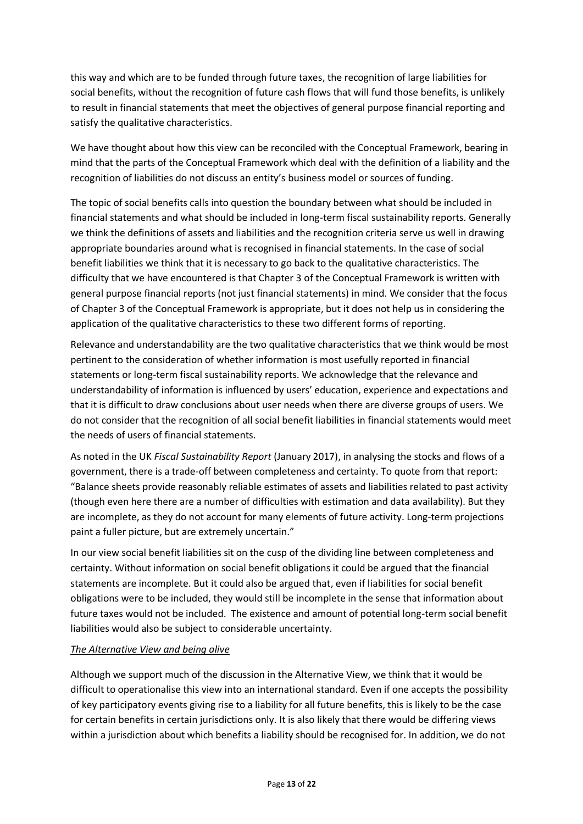this way and which are to be funded through future taxes, the recognition of large liabilities for social benefits, without the recognition of future cash flows that will fund those benefits, is unlikely to result in financial statements that meet the objectives of general purpose financial reporting and satisfy the qualitative characteristics.

We have thought about how this view can be reconciled with the Conceptual Framework, bearing in mind that the parts of the Conceptual Framework which deal with the definition of a liability and the recognition of liabilities do not discuss an entity's business model or sources of funding.

The topic of social benefits calls into question the boundary between what should be included in financial statements and what should be included in long-term fiscal sustainability reports. Generally we think the definitions of assets and liabilities and the recognition criteria serve us well in drawing appropriate boundaries around what is recognised in financial statements. In the case of social benefit liabilities we think that it is necessary to go back to the qualitative characteristics. The difficulty that we have encountered is that Chapter 3 of the Conceptual Framework is written with general purpose financial reports (not just financial statements) in mind. We consider that the focus of Chapter 3 of the Conceptual Framework is appropriate, but it does not help us in considering the application of the qualitative characteristics to these two different forms of reporting.

Relevance and understandability are the two qualitative characteristics that we think would be most pertinent to the consideration of whether information is most usefully reported in financial statements or long-term fiscal sustainability reports. We acknowledge that the relevance and understandability of information is influenced by users' education, experience and expectations and that it is difficult to draw conclusions about user needs when there are diverse groups of users. We do not consider that the recognition of all social benefit liabilities in financial statements would meet the needs of users of financial statements.

As noted in the UK *Fiscal Sustainability Report* (January 2017), in analysing the stocks and flows of a government, there is a trade-off between completeness and certainty. To quote from that report: "Balance sheets provide reasonably reliable estimates of assets and liabilities related to past activity (though even here there are a number of difficulties with estimation and data availability). But they are incomplete, as they do not account for many elements of future activity. Long-term projections paint a fuller picture, but are extremely uncertain."

In our view social benefit liabilities sit on the cusp of the dividing line between completeness and certainty. Without information on social benefit obligations it could be argued that the financial statements are incomplete. But it could also be argued that, even if liabilities for social benefit obligations were to be included, they would still be incomplete in the sense that information about future taxes would not be included. The existence and amount of potential long-term social benefit liabilities would also be subject to considerable uncertainty.

# *The Alternative View and being alive*

Although we support much of the discussion in the Alternative View, we think that it would be difficult to operationalise this view into an international standard. Even if one accepts the possibility of key participatory events giving rise to a liability for all future benefits, this is likely to be the case for certain benefits in certain jurisdictions only. It is also likely that there would be differing views within a jurisdiction about which benefits a liability should be recognised for. In addition, we do not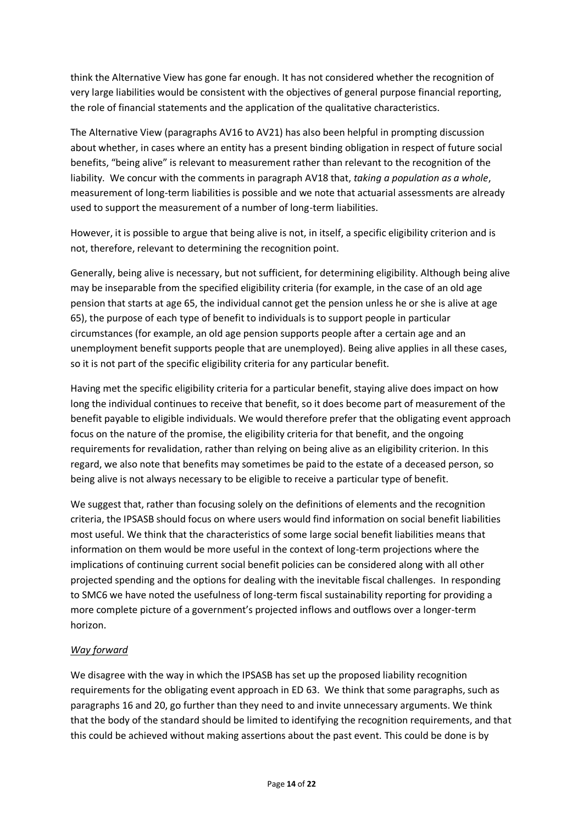think the Alternative View has gone far enough. It has not considered whether the recognition of very large liabilities would be consistent with the objectives of general purpose financial reporting, the role of financial statements and the application of the qualitative characteristics.

The Alternative View (paragraphs AV16 to AV21) has also been helpful in prompting discussion about whether, in cases where an entity has a present binding obligation in respect of future social benefits, "being alive" is relevant to measurement rather than relevant to the recognition of the liability. We concur with the comments in paragraph AV18 that, *taking a population as a whole*, measurement of long-term liabilities is possible and we note that actuarial assessments are already used to support the measurement of a number of long-term liabilities.

However, it is possible to argue that being alive is not, in itself, a specific eligibility criterion and is not, therefore, relevant to determining the recognition point.

Generally, being alive is necessary, but not sufficient, for determining eligibility. Although being alive may be inseparable from the specified eligibility criteria (for example, in the case of an old age pension that starts at age 65, the individual cannot get the pension unless he or she is alive at age 65), the purpose of each type of benefit to individuals is to support people in particular circumstances (for example, an old age pension supports people after a certain age and an unemployment benefit supports people that are unemployed). Being alive applies in all these cases, so it is not part of the specific eligibility criteria for any particular benefit.

Having met the specific eligibility criteria for a particular benefit, staying alive does impact on how long the individual continues to receive that benefit, so it does become part of measurement of the benefit payable to eligible individuals. We would therefore prefer that the obligating event approach focus on the nature of the promise, the eligibility criteria for that benefit, and the ongoing requirements for revalidation, rather than relying on being alive as an eligibility criterion. In this regard, we also note that benefits may sometimes be paid to the estate of a deceased person, so being alive is not always necessary to be eligible to receive a particular type of benefit.

We suggest that, rather than focusing solely on the definitions of elements and the recognition criteria, the IPSASB should focus on where users would find information on social benefit liabilities most useful. We think that the characteristics of some large social benefit liabilities means that information on them would be more useful in the context of long-term projections where the implications of continuing current social benefit policies can be considered along with all other projected spending and the options for dealing with the inevitable fiscal challenges. In responding to SMC6 we have noted the usefulness of long-term fiscal sustainability reporting for providing a more complete picture of a government's projected inflows and outflows over a longer-term horizon.

# *Way forward*

We disagree with the way in which the IPSASB has set up the proposed liability recognition requirements for the obligating event approach in ED 63. We think that some paragraphs, such as paragraphs 16 and 20, go further than they need to and invite unnecessary arguments. We think that the body of the standard should be limited to identifying the recognition requirements, and that this could be achieved without making assertions about the past event. This could be done is by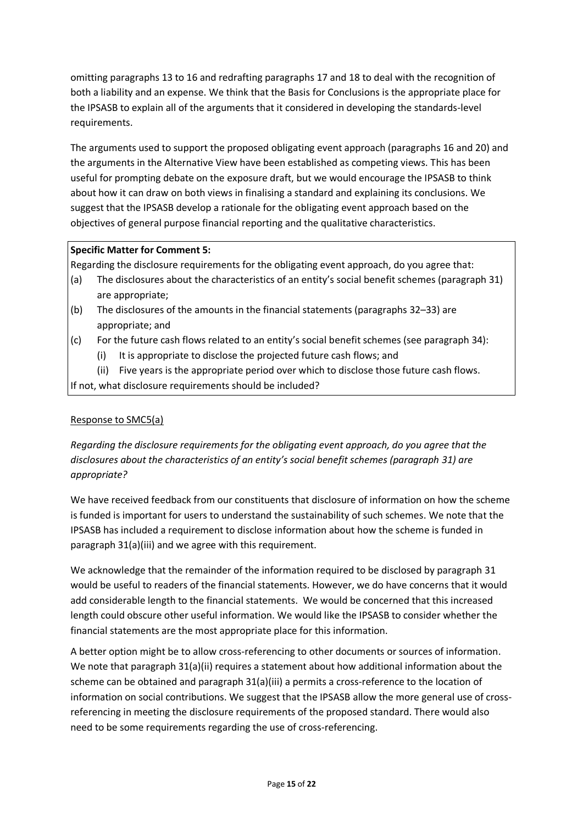omitting paragraphs 13 to 16 and redrafting paragraphs 17 and 18 to deal with the recognition of both a liability and an expense. We think that the Basis for Conclusions is the appropriate place for the IPSASB to explain all of the arguments that it considered in developing the standards-level requirements.

The arguments used to support the proposed obligating event approach (paragraphs 16 and 20) and the arguments in the Alternative View have been established as competing views. This has been useful for prompting debate on the exposure draft, but we would encourage the IPSASB to think about how it can draw on both views in finalising a standard and explaining its conclusions. We suggest that the IPSASB develop a rationale for the obligating event approach based on the objectives of general purpose financial reporting and the qualitative characteristics.

# **Specific Matter for Comment 5:**

Regarding the disclosure requirements for the obligating event approach, do you agree that:

- (a) The disclosures about the characteristics of an entity's social benefit schemes (paragraph 31) are appropriate;
- (b) The disclosures of the amounts in the financial statements (paragraphs 32–33) are appropriate; and
- (c) For the future cash flows related to an entity's social benefit schemes (see paragraph 34):
	- (i) It is appropriate to disclose the projected future cash flows; and
	- (ii) Five years is the appropriate period over which to disclose those future cash flows.

If not, what disclosure requirements should be included?

# Response to SMC5(a)

*Regarding the disclosure requirements for the obligating event approach, do you agree that the disclosures about the characteristics of an entity's social benefit schemes (paragraph 31) are appropriate?*

We have received feedback from our constituents that disclosure of information on how the scheme is funded is important for users to understand the sustainability of such schemes. We note that the IPSASB has included a requirement to disclose information about how the scheme is funded in paragraph 31(a)(iii) and we agree with this requirement.

We acknowledge that the remainder of the information required to be disclosed by paragraph 31 would be useful to readers of the financial statements. However, we do have concerns that it would add considerable length to the financial statements. We would be concerned that this increased length could obscure other useful information. We would like the IPSASB to consider whether the financial statements are the most appropriate place for this information.

A better option might be to allow cross-referencing to other documents or sources of information. We note that paragraph 31(a)(ii) requires a statement about how additional information about the scheme can be obtained and paragraph 31(a)(iii) a permits a cross-reference to the location of information on social contributions. We suggest that the IPSASB allow the more general use of crossreferencing in meeting the disclosure requirements of the proposed standard. There would also need to be some requirements regarding the use of cross-referencing.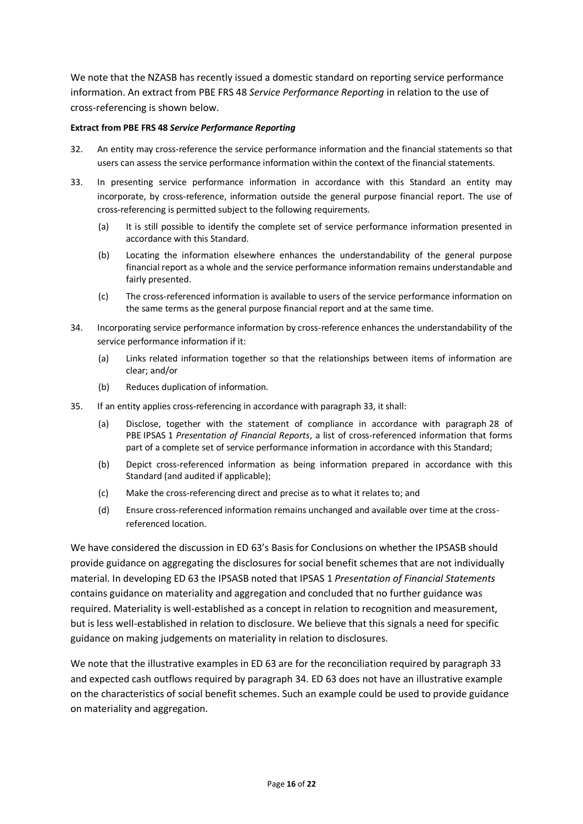We note that the NZASB has recently issued a domestic standard on reporting service performance information. An extract from PBE FRS 48 *Service Performance Reporting* in relation to the use of cross-referencing is shown below.

#### **Extract from PBE FRS 48** *Service Performance Reporting*

- 32. An entity may cross-reference the service performance information and the financial statements so that users can assess the service performance information within the context of the financial statements.
- 33. In presenting service performance information in accordance with this Standard an entity may incorporate, by cross-reference, information outside the general purpose financial report. The use of cross-referencing is permitted subject to the following requirements.
	- (a) It is still possible to identify the complete set of service performance information presented in accordance with this Standard.
	- (b) Locating the information elsewhere enhances the understandability of the general purpose financial report as a whole and the service performance information remains understandable and fairly presented.
	- (c) The cross-referenced information is available to users of the service performance information on the same terms as the general purpose financial report and at the same time.
- 34. Incorporating service performance information by cross-reference enhances the understandability of the service performance information if it:
	- (a) Links related information together so that the relationships between items of information are clear; and/or
	- (b) Reduces duplication of information.
- 35. If an entity applies cross-referencing in accordance with paragraph 33, it shall:
	- (a) Disclose, together with the statement of compliance in accordance with paragraph 28 of PBE IPSAS 1 *Presentation of Financial Reports*, a list of cross-referenced information that forms part of a complete set of service performance information in accordance with this Standard;
	- (b) Depict cross-referenced information as being information prepared in accordance with this Standard (and audited if applicable);
	- (c) Make the cross-referencing direct and precise as to what it relates to; and
	- (d) Ensure cross-referenced information remains unchanged and available over time at the crossreferenced location.

We have considered the discussion in ED 63's Basis for Conclusions on whether the IPSASB should provide guidance on aggregating the disclosures for social benefit schemes that are not individually material. In developing ED 63 the IPSASB noted that IPSAS 1 *Presentation of Financial Statements* contains guidance on materiality and aggregation and concluded that no further guidance was required. Materiality is well-established as a concept in relation to recognition and measurement, but is less well-established in relation to disclosure. We believe that this signals a need for specific guidance on making judgements on materiality in relation to disclosures.

We note that the illustrative examples in ED 63 are for the reconciliation required by paragraph 33 and expected cash outflows required by paragraph 34. ED 63 does not have an illustrative example on the characteristics of social benefit schemes. Such an example could be used to provide guidance on materiality and aggregation.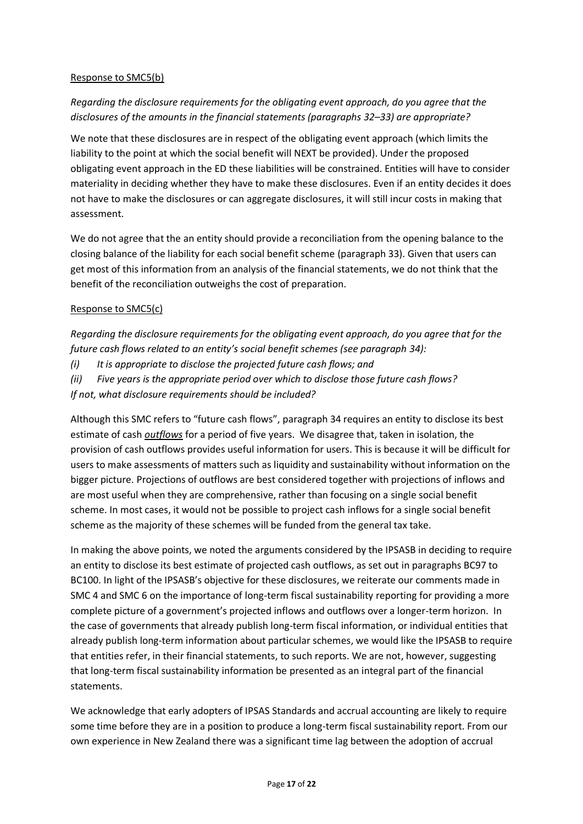## Response to SMC5(b)

# *Regarding the disclosure requirements for the obligating event approach, do you agree that the disclosures of the amounts in the financial statements (paragraphs 32–33) are appropriate?*

We note that these disclosures are in respect of the obligating event approach (which limits the liability to the point at which the social benefit will NEXT be provided). Under the proposed obligating event approach in the ED these liabilities will be constrained. Entities will have to consider materiality in deciding whether they have to make these disclosures. Even if an entity decides it does not have to make the disclosures or can aggregate disclosures, it will still incur costs in making that assessment.

We do not agree that the an entity should provide a reconciliation from the opening balance to the closing balance of the liability for each social benefit scheme (paragraph 33). Given that users can get most of this information from an analysis of the financial statements, we do not think that the benefit of the reconciliation outweighs the cost of preparation.

# Response to SMC5(c)

*Regarding the disclosure requirements for the obligating event approach, do you agree that for the future cash flows related to an entity's social benefit schemes (see paragraph 34):*

*(i) It is appropriate to disclose the projected future cash flows; and*

*(ii) Five years is the appropriate period over which to disclose those future cash flows?*

*If not, what disclosure requirements should be included?*

Although this SMC refers to "future cash flows", paragraph 34 requires an entity to disclose its best estimate of cash *outflows* for a period of five years. We disagree that, taken in isolation, the provision of cash outflows provides useful information for users. This is because it will be difficult for users to make assessments of matters such as liquidity and sustainability without information on the bigger picture. Projections of outflows are best considered together with projections of inflows and are most useful when they are comprehensive, rather than focusing on a single social benefit scheme. In most cases, it would not be possible to project cash inflows for a single social benefit scheme as the majority of these schemes will be funded from the general tax take.

In making the above points, we noted the arguments considered by the IPSASB in deciding to require an entity to disclose its best estimate of projected cash outflows, as set out in paragraphs BC97 to BC100. In light of the IPSASB's objective for these disclosures, we reiterate our comments made in SMC 4 and SMC 6 on the importance of long-term fiscal sustainability reporting for providing a more complete picture of a government's projected inflows and outflows over a longer-term horizon. In the case of governments that already publish long-term fiscal information, or individual entities that already publish long-term information about particular schemes, we would like the IPSASB to require that entities refer, in their financial statements, to such reports. We are not, however, suggesting that long-term fiscal sustainability information be presented as an integral part of the financial statements.

We acknowledge that early adopters of IPSAS Standards and accrual accounting are likely to require some time before they are in a position to produce a long-term fiscal sustainability report. From our own experience in New Zealand there was a significant time lag between the adoption of accrual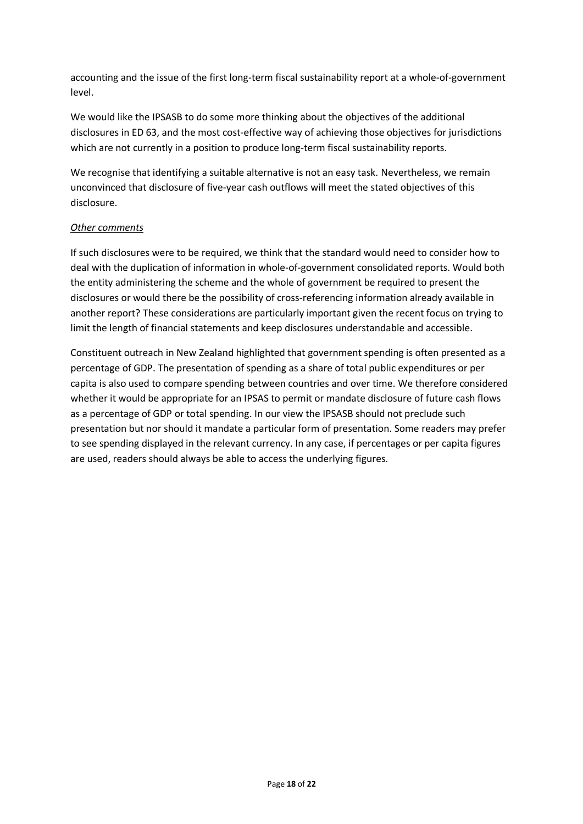accounting and the issue of the first long-term fiscal sustainability report at a whole-of-government level.

We would like the IPSASB to do some more thinking about the objectives of the additional disclosures in ED 63, and the most cost-effective way of achieving those objectives for jurisdictions which are not currently in a position to produce long-term fiscal sustainability reports.

We recognise that identifying a suitable alternative is not an easy task. Nevertheless, we remain unconvinced that disclosure of five-year cash outflows will meet the stated objectives of this disclosure.

# *Other comments*

If such disclosures were to be required, we think that the standard would need to consider how to deal with the duplication of information in whole-of-government consolidated reports. Would both the entity administering the scheme and the whole of government be required to present the disclosures or would there be the possibility of cross-referencing information already available in another report? These considerations are particularly important given the recent focus on trying to limit the length of financial statements and keep disclosures understandable and accessible.

Constituent outreach in New Zealand highlighted that government spending is often presented as a percentage of GDP. The presentation of spending as a share of total public expenditures or per capita is also used to compare spending between countries and over time. We therefore considered whether it would be appropriate for an IPSAS to permit or mandate disclosure of future cash flows as a percentage of GDP or total spending. In our view the IPSASB should not preclude such presentation but nor should it mandate a particular form of presentation. Some readers may prefer to see spending displayed in the relevant currency. In any case, if percentages or per capita figures are used, readers should always be able to access the underlying figures.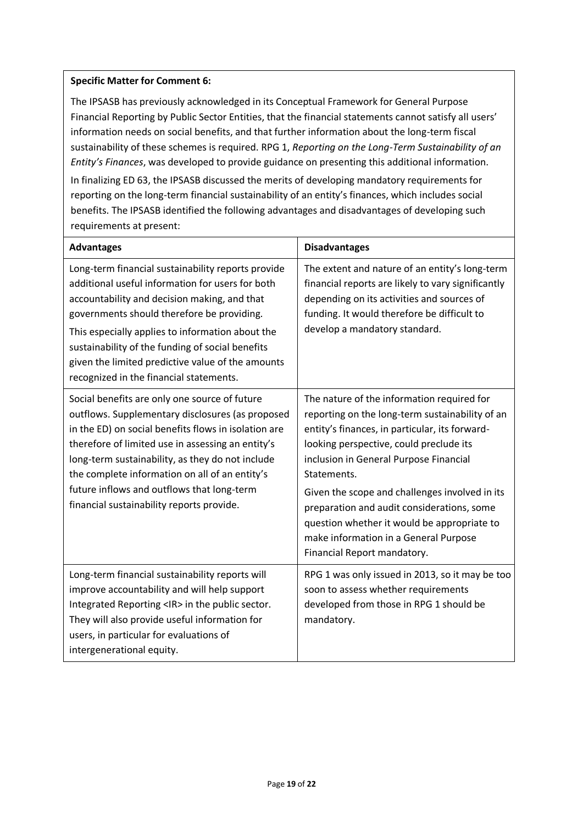# **Specific Matter for Comment 6:**

The IPSASB has previously acknowledged in its Conceptual Framework for General Purpose Financial Reporting by Public Sector Entities, that the financial statements cannot satisfy all users' information needs on social benefits, and that further information about the long-term fiscal sustainability of these schemes is required. RPG 1, *Reporting on the Long-Term Sustainability of an Entity's Finances*, was developed to provide guidance on presenting this additional information. In finalizing ED 63, the IPSASB discussed the merits of developing mandatory requirements for reporting on the long-term financial sustainability of an entity's finances, which includes social benefits. The IPSASB identified the following advantages and disadvantages of developing such requirements at present:

| <b>Advantages</b>                                                                                                                                                                                                                                                                                                                                                                                               | <b>Disadvantages</b>                                                                                                                                                                                                                                                                                                                                                                                                                                                       |
|-----------------------------------------------------------------------------------------------------------------------------------------------------------------------------------------------------------------------------------------------------------------------------------------------------------------------------------------------------------------------------------------------------------------|----------------------------------------------------------------------------------------------------------------------------------------------------------------------------------------------------------------------------------------------------------------------------------------------------------------------------------------------------------------------------------------------------------------------------------------------------------------------------|
| Long-term financial sustainability reports provide<br>additional useful information for users for both<br>accountability and decision making, and that<br>governments should therefore be providing.<br>This especially applies to information about the<br>sustainability of the funding of social benefits<br>given the limited predictive value of the amounts<br>recognized in the financial statements.    | The extent and nature of an entity's long-term<br>financial reports are likely to vary significantly<br>depending on its activities and sources of<br>funding. It would therefore be difficult to<br>develop a mandatory standard.                                                                                                                                                                                                                                         |
| Social benefits are only one source of future<br>outflows. Supplementary disclosures (as proposed<br>in the ED) on social benefits flows in isolation are<br>therefore of limited use in assessing an entity's<br>long-term sustainability, as they do not include<br>the complete information on all of an entity's<br>future inflows and outflows that long-term<br>financial sustainability reports provide. | The nature of the information required for<br>reporting on the long-term sustainability of an<br>entity's finances, in particular, its forward-<br>looking perspective, could preclude its<br>inclusion in General Purpose Financial<br>Statements.<br>Given the scope and challenges involved in its<br>preparation and audit considerations, some<br>question whether it would be appropriate to<br>make information in a General Purpose<br>Financial Report mandatory. |
| Long-term financial sustainability reports will<br>improve accountability and will help support<br>Integrated Reporting <ir> in the public sector.<br/>They will also provide useful information for<br/>users, in particular for evaluations of<br/>intergenerational equity.</ir>                                                                                                                             | RPG 1 was only issued in 2013, so it may be too<br>soon to assess whether requirements<br>developed from those in RPG 1 should be<br>mandatory.                                                                                                                                                                                                                                                                                                                            |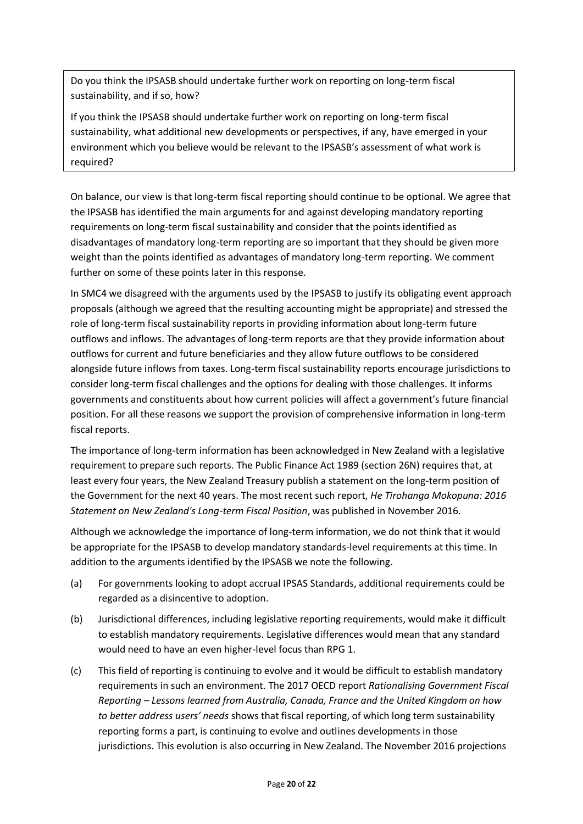Do you think the IPSASB should undertake further work on reporting on long-term fiscal sustainability, and if so, how?

If you think the IPSASB should undertake further work on reporting on long-term fiscal sustainability, what additional new developments or perspectives, if any, have emerged in your environment which you believe would be relevant to the IPSASB's assessment of what work is required?

On balance, our view is that long-term fiscal reporting should continue to be optional. We agree that the IPSASB has identified the main arguments for and against developing mandatory reporting requirements on long-term fiscal sustainability and consider that the points identified as disadvantages of mandatory long-term reporting are so important that they should be given more weight than the points identified as advantages of mandatory long-term reporting. We comment further on some of these points later in this response.

In SMC4 we disagreed with the arguments used by the IPSASB to justify its obligating event approach proposals (although we agreed that the resulting accounting might be appropriate) and stressed the role of long-term fiscal sustainability reports in providing information about long-term future outflows and inflows. The advantages of long-term reports are that they provide information about outflows for current and future beneficiaries and they allow future outflows to be considered alongside future inflows from taxes. Long-term fiscal sustainability reports encourage jurisdictions to consider long-term fiscal challenges and the options for dealing with those challenges. It informs governments and constituents about how current policies will affect a government's future financial position. For all these reasons we support the provision of comprehensive information in long-term fiscal reports.

The importance of long-term information has been acknowledged in New Zealand with a legislative requirement to prepare such reports. The Public Finance Act 1989 (section 26N) requires that, at least every four years, the New Zealand Treasury publish a statement on the long-term position of the Government for the next 40 years. The most recent such report, *He Tirohanga Mokopuna: 2016 Statement on New Zealand's Long-term Fiscal Position*, was published in November 2016.

Although we acknowledge the importance of long-term information, we do not think that it would be appropriate for the IPSASB to develop mandatory standards-level requirements at this time. In addition to the arguments identified by the IPSASB we note the following.

- (a) For governments looking to adopt accrual IPSAS Standards, additional requirements could be regarded as a disincentive to adoption.
- (b) Jurisdictional differences, including legislative reporting requirements, would make it difficult to establish mandatory requirements. Legislative differences would mean that any standard would need to have an even higher-level focus than RPG 1.
- (c) This field of reporting is continuing to evolve and it would be difficult to establish mandatory requirements in such an environment. The 2017 OECD report *Rationalising Government Fiscal Reporting – Lessons learned from Australia, Canada, France and the United Kingdom on how to better address users' needs* shows that fiscal reporting, of which long term sustainability reporting forms a part, is continuing to evolve and outlines developments in those jurisdictions. This evolution is also occurring in New Zealand. The November 2016 projections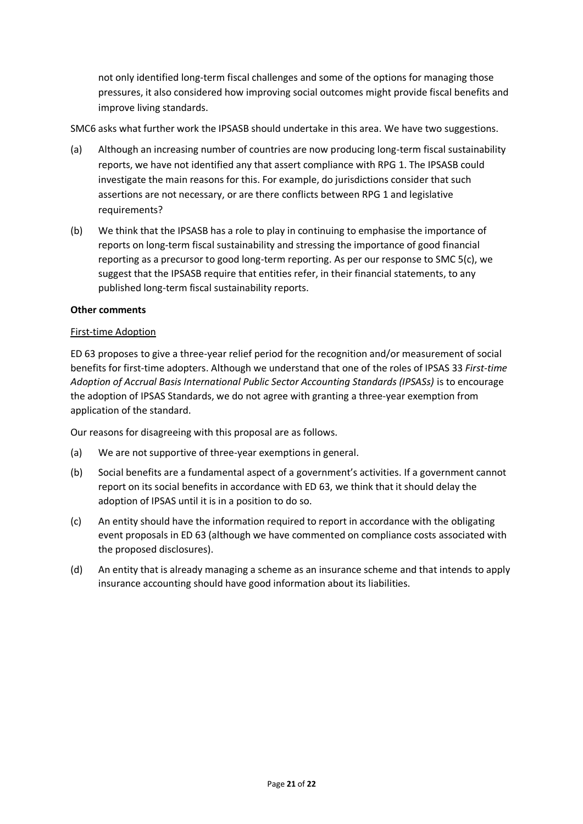not only identified long-term fiscal challenges and some of the options for managing those pressures, it also considered how improving social outcomes might provide fiscal benefits and improve living standards.

SMC6 asks what further work the IPSASB should undertake in this area. We have two suggestions.

- (a) Although an increasing number of countries are now producing long-term fiscal sustainability reports, we have not identified any that assert compliance with RPG 1. The IPSASB could investigate the main reasons for this. For example, do jurisdictions consider that such assertions are not necessary, or are there conflicts between RPG 1 and legislative requirements?
- (b) We think that the IPSASB has a role to play in continuing to emphasise the importance of reports on long-term fiscal sustainability and stressing the importance of good financial reporting as a precursor to good long-term reporting. As per our response to SMC 5(c), we suggest that the IPSASB require that entities refer, in their financial statements, to any published long-term fiscal sustainability reports.

## **Other comments**

## First-time Adoption

ED 63 proposes to give a three-year relief period for the recognition and/or measurement of social benefits for first-time adopters. Although we understand that one of the roles of IPSAS 33 *First-time Adoption of Accrual Basis International Public Sector Accounting Standards (IPSASs)* is to encourage the adoption of IPSAS Standards, we do not agree with granting a three-year exemption from application of the standard.

Our reasons for disagreeing with this proposal are as follows.

- (a) We are not supportive of three-year exemptions in general.
- (b) Social benefits are a fundamental aspect of a government's activities. If a government cannot report on its social benefits in accordance with ED 63, we think that it should delay the adoption of IPSAS until it is in a position to do so.
- (c) An entity should have the information required to report in accordance with the obligating event proposals in ED 63 (although we have commented on compliance costs associated with the proposed disclosures).
- (d) An entity that is already managing a scheme as an insurance scheme and that intends to apply insurance accounting should have good information about its liabilities.